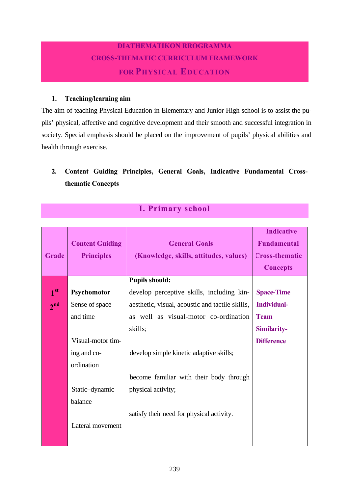## **DIATHEMATIKON RROGRAMMA CROSS-THEMATIC CURRICULUM FRAMEWORK FOR PHYSICAL EDUCATION**

#### **1. Teaching/learning aim**

The aim of teaching Physical Education in Elementary and Junior High school is to assist the pupils' physical, affective and cognitive development and their smooth and successful integration in society. Special emphasis should be placed on the improvement of pupils' physical abilities and health through exercise.

### **2. Content Guiding Principles, General Goals, Indicative Fundamental Crossthematic Concepts**

|                 |                        |                                                 | <b>Indicative</b>     |
|-----------------|------------------------|-------------------------------------------------|-----------------------|
|                 | <b>Content Guiding</b> | <b>General Goals</b>                            | <b>Fundamental</b>    |
| Grade           | <b>Principles</b>      | (Knowledge, skills, attitudes, values)          | <b>Cross-thematic</b> |
|                 |                        |                                                 | <b>Concepts</b>       |
|                 |                        | <b>Pupils should:</b>                           |                       |
| 1 <sup>st</sup> | Psychomotor            | develop perceptive skills, including kin-       | <b>Space-Time</b>     |
| 2 <sup>nd</sup> | Sense of space         | aesthetic, visual, acoustic and tactile skills, | <b>Individual-</b>    |
|                 | and time               | as well as visual-motor co-ordination           | <b>Team</b>           |
|                 |                        | skills;                                         | Similarity-           |
|                 | Visual-motor tim-      |                                                 | <b>Difference</b>     |
|                 | ing and co-            | develop simple kinetic adaptive skills;         |                       |
|                 | ordination             |                                                 |                       |
|                 |                        | become familiar with their body through         |                       |
|                 | Static-dynamic         | physical activity;                              |                       |
|                 | balance                |                                                 |                       |
|                 |                        | satisfy their need for physical activity.       |                       |
|                 | Lateral movement       |                                                 |                       |
|                 |                        |                                                 |                       |
|                 |                        |                                                 |                       |

### **I. Primary school**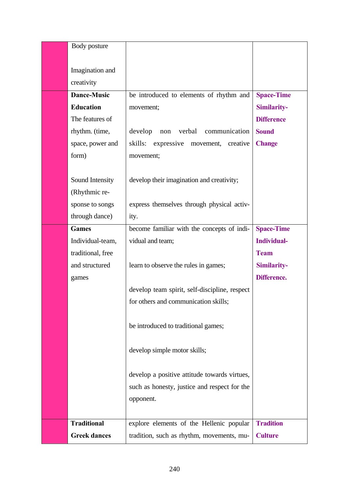| Body posture        |                                                |                    |
|---------------------|------------------------------------------------|--------------------|
| Imagination and     |                                                |                    |
| creativity          |                                                |                    |
| <b>Dance-Music</b>  | be introduced to elements of rhythm and        | <b>Space-Time</b>  |
| <b>Education</b>    | movement;                                      | Similarity-        |
| The features of     |                                                | <b>Difference</b>  |
| rhythm. (time,      | develop<br>verbal<br>communication<br>non      | <b>Sound</b>       |
| space, power and    | skills:<br>expressive<br>movement,<br>creative | <b>Change</b>      |
| form)               | movement;                                      |                    |
|                     |                                                |                    |
| Sound Intensity     | develop their imagination and creativity;      |                    |
| (Rhythmic re-       |                                                |                    |
| sponse to songs     | express themselves through physical activ-     |                    |
| through dance)      | ity.                                           |                    |
| <b>Games</b>        | become familiar with the concepts of indi-     | <b>Space-Time</b>  |
| Individual-team,    | vidual and team;                               | <b>Individual-</b> |
| traditional, free   |                                                | <b>Team</b>        |
| and structured      | learn to observe the rules in games;           | Similarity-        |
| games               |                                                | Difference.        |
|                     | develop team spirit, self-discipline, respect  |                    |
|                     | for others and communication skills;           |                    |
|                     |                                                |                    |
|                     | be introduced to traditional games;            |                    |
|                     |                                                |                    |
|                     | develop simple motor skills;                   |                    |
|                     | develop a positive attitude towards virtues,   |                    |
|                     | such as honesty, justice and respect for the   |                    |
|                     | opponent.                                      |                    |
|                     |                                                |                    |
| <b>Traditional</b>  | explore elements of the Hellenic popular       | <b>Tradition</b>   |
| <b>Greek dances</b> | tradition, such as rhythm, movements, mu-      | <b>Culture</b>     |
|                     |                                                |                    |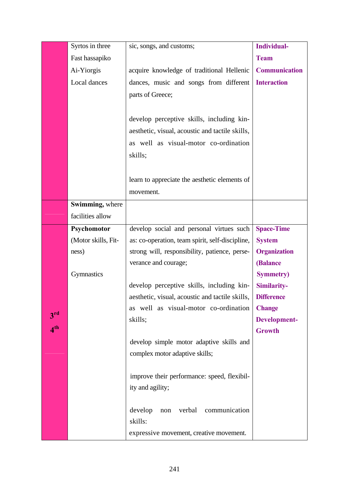|                 | Syrtos in three     | sic, songs, and customs;                        | <b>Individual-</b>   |
|-----------------|---------------------|-------------------------------------------------|----------------------|
|                 | Fast hassapiko      |                                                 | <b>Team</b>          |
|                 | Ai-Yiorgis          | acquire knowledge of traditional Hellenic       | <b>Communication</b> |
|                 | Local dances        | dances, music and songs from different          | <b>Interaction</b>   |
|                 |                     | parts of Greece;                                |                      |
|                 |                     |                                                 |                      |
|                 |                     | develop perceptive skills, including kin-       |                      |
|                 |                     | aesthetic, visual, acoustic and tactile skills, |                      |
|                 |                     | as well as visual-motor co-ordination           |                      |
|                 |                     | skills;                                         |                      |
|                 |                     |                                                 |                      |
|                 |                     | learn to appreciate the aesthetic elements of   |                      |
|                 |                     | movement.                                       |                      |
|                 | Swimming, where     |                                                 |                      |
|                 | facilities allow    |                                                 |                      |
|                 | Psychomotor         | develop social and personal virtues such        | <b>Space-Time</b>    |
|                 | (Motor skills, Fit- | as: co-operation, team spirit, self-discipline, | <b>System</b>        |
|                 | ness)               | strong will, responsibility, patience, perse-   | <b>Organization</b>  |
|                 |                     | verance and courage;                            | <b>(Balance</b>      |
|                 | Gymnastics          |                                                 | <b>Symmetry</b> )    |
|                 |                     | develop perceptive skills, including kin-       | Similarity-          |
|                 |                     | aesthetic, visual, acoustic and tactile skills, | <b>Difference</b>    |
| 3 <sup>rd</sup> |                     | as well as visual-motor co-ordination           | <b>Change</b>        |
| 4 <sup>th</sup> |                     | skills;                                         | Development-         |
|                 |                     |                                                 | <b>Growth</b>        |
|                 |                     | develop simple motor adaptive skills and        |                      |
|                 |                     | complex motor adaptive skills;                  |                      |
|                 |                     | improve their performance: speed, flexibil-     |                      |
|                 |                     | ity and agility;                                |                      |
|                 |                     |                                                 |                      |
|                 |                     | verbal<br>develop<br>communication<br>non       |                      |
|                 |                     | skills:                                         |                      |
|                 |                     | expressive movement, creative movement.         |                      |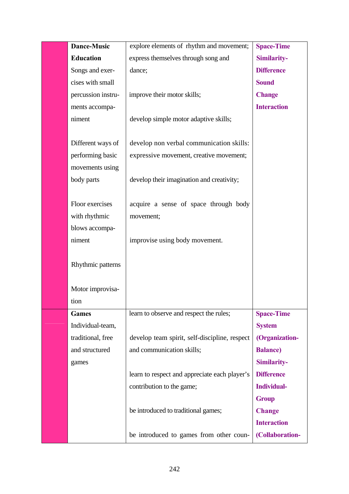| <b>Dance-Music</b> | explore elements of rhythm and movement;      | <b>Space-Time</b>  |
|--------------------|-----------------------------------------------|--------------------|
| <b>Education</b>   | express themselves through song and           | Similarity-        |
| Songs and exer-    | dance;                                        | <b>Difference</b>  |
| cises with small   |                                               | <b>Sound</b>       |
| percussion instru- | improve their motor skills;                   | <b>Change</b>      |
| ments accompa-     |                                               | <b>Interaction</b> |
| niment             | develop simple motor adaptive skills;         |                    |
|                    |                                               |                    |
| Different ways of  | develop non verbal communication skills:      |                    |
| performing basic   | expressive movement, creative movement;       |                    |
| movements using    |                                               |                    |
| body parts         | develop their imagination and creativity;     |                    |
|                    |                                               |                    |
| Floor exercises    | acquire a sense of space through body         |                    |
| with rhythmic      | movement;                                     |                    |
| blows accompa-     |                                               |                    |
| niment             | improvise using body movement.                |                    |
|                    |                                               |                    |
| Rhythmic patterns  |                                               |                    |
| Motor improvisa-   |                                               |                    |
| tion               |                                               |                    |
| <b>Games</b>       | learn to observe and respect the rules;       | <b>Space-Time</b>  |
| Individual-team,   |                                               | <b>System</b>      |
| traditional, free  | develop team spirit, self-discipline, respect | (Organization-     |
| and structured     | and communication skills;                     | <b>Balance</b> )   |
| games              |                                               | Similarity-        |
|                    | learn to respect and appreciate each player's | <b>Difference</b>  |
|                    | contribution to the game;                     | <b>Individual-</b> |
|                    |                                               | <b>Group</b>       |
|                    | be introduced to traditional games;           | <b>Change</b>      |
|                    |                                               | <b>Interaction</b> |
|                    | be introduced to games from other coun-       | (Collaboration-    |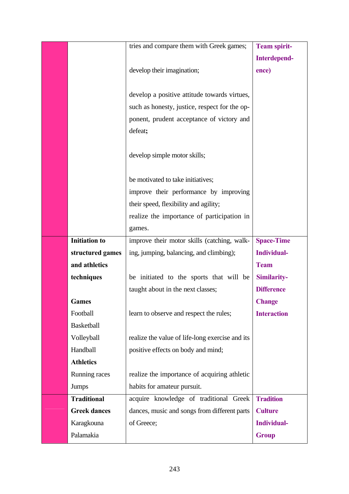|                      | tries and compare them with Greek games;        | <b>Team spirit-</b> |
|----------------------|-------------------------------------------------|---------------------|
|                      |                                                 | <b>Interdepend-</b> |
|                      | develop their imagination;                      | ence)               |
|                      |                                                 |                     |
|                      | develop a positive attitude towards virtues,    |                     |
|                      | such as honesty, justice, respect for the op-   |                     |
|                      | ponent, prudent acceptance of victory and       |                     |
|                      | defeat;                                         |                     |
|                      |                                                 |                     |
|                      | develop simple motor skills;                    |                     |
|                      |                                                 |                     |
|                      | be motivated to take initiatives;               |                     |
|                      | improve their performance by improving          |                     |
|                      | their speed, flexibility and agility;           |                     |
|                      | realize the importance of participation in      |                     |
|                      | games.                                          |                     |
| <b>Initiation</b> to | improve their motor skills (catching, walk-     | <b>Space-Time</b>   |
| structured games     | ing, jumping, balancing, and climbing);         | <b>Individual-</b>  |
| and athletics        |                                                 | <b>Team</b>         |
| techniques           | be initiated to the sports that will be         | Similarity-         |
|                      | taught about in the next classes;               | <b>Difference</b>   |
| <b>Games</b>         |                                                 | <b>Change</b>       |
| Football             | learn to observe and respect the rules;         | <b>Interaction</b>  |
| <b>Basketball</b>    |                                                 |                     |
| Volleyball           | realize the value of life-long exercise and its |                     |
| Handball             | positive effects on body and mind;              |                     |
| <b>Athletics</b>     |                                                 |                     |
| Running races        | realize the importance of acquiring athletic    |                     |
| Jumps                | habits for amateur pursuit.                     |                     |
| <b>Traditional</b>   | acquire knowledge of traditional Greek          | <b>Tradition</b>    |
| <b>Greek dances</b>  | dances, music and songs from different parts    | <b>Culture</b>      |
| Karagkouna           | of Greece;                                      | <b>Individual-</b>  |
| Palamakia            |                                                 | <b>Group</b>        |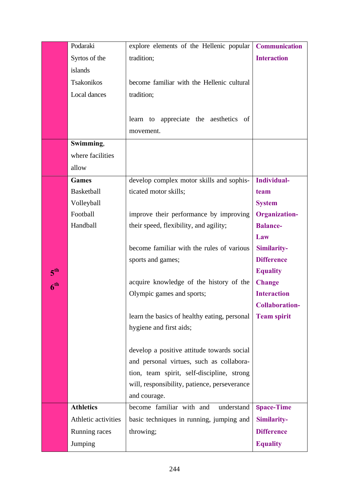|                 | Podaraki            | explore elements of the Hellenic popular     | <b>Communication</b>  |
|-----------------|---------------------|----------------------------------------------|-----------------------|
|                 | Syrtos of the       | tradition;                                   | <b>Interaction</b>    |
|                 | islands             |                                              |                       |
|                 | Tsakonikos          | become familiar with the Hellenic cultural   |                       |
|                 | Local dances        | tradition;                                   |                       |
|                 |                     |                                              |                       |
|                 |                     | learn to appreciate the aesthetics of        |                       |
|                 |                     | movement.                                    |                       |
|                 | Swimming,           |                                              |                       |
|                 | where facilities    |                                              |                       |
|                 | allow               |                                              |                       |
|                 | <b>Games</b>        | develop complex motor skills and sophis-     | Individual-           |
|                 | Basketball          | ticated motor skills;                        | team                  |
|                 | Volleyball          |                                              | <b>System</b>         |
|                 | Football            | improve their performance by improving       | <b>Organization-</b>  |
|                 | Handball            | their speed, flexibility, and agility;       | <b>Balance-</b>       |
|                 |                     |                                              | Law                   |
|                 |                     | become familiar with the rules of various    | Similarity-           |
|                 |                     | sports and games;                            | <b>Difference</b>     |
| 5 <sup>th</sup> |                     |                                              | <b>Equality</b>       |
| 6 <sup>th</sup> |                     | acquire knowledge of the history of the      | <b>Change</b>         |
|                 |                     | Olympic games and sports;                    | <b>Interaction</b>    |
|                 |                     |                                              | <b>Collaboration-</b> |
|                 |                     | learn the basics of healthy eating, personal | <b>Team spirit</b>    |
|                 |                     | hygiene and first aids;                      |                       |
|                 |                     |                                              |                       |
|                 |                     | develop a positive attitude towards social   |                       |
|                 |                     | and personal virtues, such as collabora-     |                       |
|                 |                     | tion, team spirit, self-discipline, strong   |                       |
|                 |                     | will, responsibility, patience, perseverance |                       |
|                 |                     | and courage.                                 |                       |
|                 | <b>Athletics</b>    | become familiar with and<br>understand       | <b>Space-Time</b>     |
|                 | Athletic activities | basic techniques in running, jumping and     | Similarity-           |
|                 | Running races       | throwing;                                    | <b>Difference</b>     |
|                 | Jumping             |                                              | <b>Equality</b>       |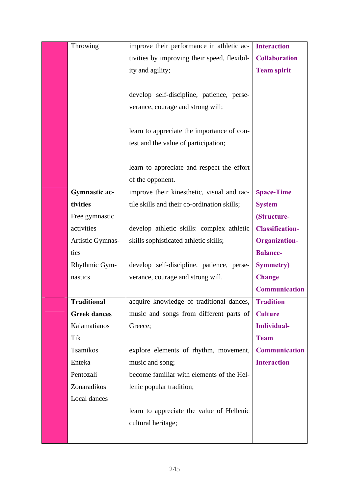| Throwing             | improve their performance in athletic ac-    | <b>Interaction</b>     |
|----------------------|----------------------------------------------|------------------------|
|                      | tivities by improving their speed, flexibil- | <b>Collaboration</b>   |
|                      | ity and agility;                             | <b>Team spirit</b>     |
|                      |                                              |                        |
|                      | develop self-discipline, patience, perse-    |                        |
|                      | verance, courage and strong will;            |                        |
|                      |                                              |                        |
|                      | learn to appreciate the importance of con-   |                        |
|                      | test and the value of participation;         |                        |
|                      |                                              |                        |
|                      | learn to appreciate and respect the effort   |                        |
|                      | of the opponent.                             |                        |
| <b>Gymnastic ac-</b> | improve their kinesthetic, visual and tac-   | <b>Space-Time</b>      |
| tivities             | tile skills and their co-ordination skills;  | <b>System</b>          |
| Free gymnastic       |                                              | (Structure-            |
| activities           | develop athletic skills: complex athletic    | <b>Classification-</b> |
| Artistic Gymnas-     | skills sophisticated athletic skills;        | <b>Organization-</b>   |
| tics                 |                                              | <b>Balance-</b>        |
| Rhythmic Gym-        | develop self-discipline, patience, perse-    | <b>Symmetry</b> )      |
| nastics              | verance, courage and strong will.            | <b>Change</b>          |
|                      |                                              | <b>Communication</b>   |
| <b>Traditional</b>   | acquire knowledge of traditional dances,     | <b>Tradition</b>       |
| <b>Greek dances</b>  | music and songs from different parts of      | <b>Culture</b>         |
| Kalamatianos         | Greece;                                      | Individual-            |
| Tik                  |                                              | <b>Team</b>            |
| Tsamikos             | explore elements of rhythm, movement,        | Communication          |
| Enteka               | music and song;                              | <b>Interaction</b>     |
| Pentozali            | become familiar with elements of the Hel-    |                        |
| Zonaradikos          | lenic popular tradition;                     |                        |
| Local dances         |                                              |                        |
|                      | learn to appreciate the value of Hellenic    |                        |
|                      | cultural heritage;                           |                        |
|                      |                                              |                        |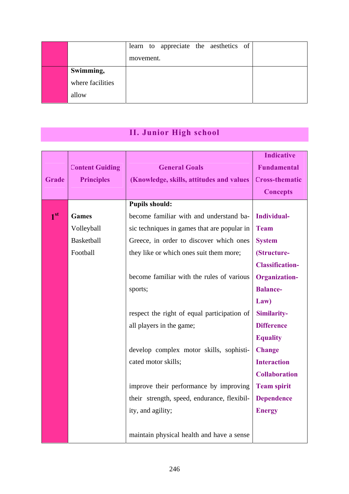|                  | learn to appreciate the aesthetics of |  |
|------------------|---------------------------------------|--|
|                  | movement.                             |  |
| Swimming,        |                                       |  |
| where facilities |                                       |  |
| allow            |                                       |  |

# **ΙΙ. Junior High school**

|                 |                        |                                             | <b>Indicative</b>      |
|-----------------|------------------------|---------------------------------------------|------------------------|
|                 | <b>Content Guiding</b> | <b>General Goals</b>                        | <b>Fundamental</b>     |
| <b>Grade</b>    | <b>Principles</b>      | (Knowledge, skills, attitudes and values)   | <b>Cross-thematic</b>  |
|                 |                        |                                             | <b>Concepts</b>        |
|                 |                        | <b>Pupils should:</b>                       |                        |
| 1 <sup>st</sup> | <b>Games</b>           | become familiar with and understand ba-     | Individual-            |
|                 | Volleyball             | sic techniques in games that are popular in | <b>Team</b>            |
|                 | Basketball             | Greece, in order to discover which ones     | <b>System</b>          |
|                 | Football               | they like or which ones suit them more;     | (Structure-            |
|                 |                        |                                             | <b>Classification-</b> |
|                 |                        | become familiar with the rules of various   | <b>Organization-</b>   |
|                 |                        | sports;                                     | <b>Balance-</b>        |
|                 |                        |                                             | Law)                   |
|                 |                        | respect the right of equal participation of | Similarity-            |
|                 |                        | all players in the game;                    | <b>Difference</b>      |
|                 |                        |                                             | <b>Equality</b>        |
|                 |                        | develop complex motor skills, sophisti-     | <b>Change</b>          |
|                 |                        | cated motor skills;                         | <b>Interaction</b>     |
|                 |                        |                                             | <b>Collaboration</b>   |
|                 |                        | improve their performance by improving      | <b>Team spirit</b>     |
|                 |                        | their strength, speed, endurance, flexibil- | <b>Dependence</b>      |
|                 |                        | ity, and agility;                           | <b>Energy</b>          |
|                 |                        |                                             |                        |
|                 |                        | maintain physical health and have a sense   |                        |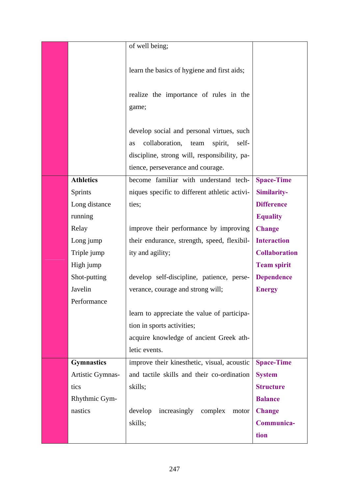|                   | of well being;                                                                                                                                                                     |                      |
|-------------------|------------------------------------------------------------------------------------------------------------------------------------------------------------------------------------|----------------------|
|                   | learn the basics of hygiene and first aids;                                                                                                                                        |                      |
|                   | realize the importance of rules in the<br>game;                                                                                                                                    |                      |
|                   | develop social and personal virtues, such<br>collaboration,<br>spirit,<br>self-<br>team<br>as<br>discipline, strong will, responsibility, pa-<br>tience, perseverance and courage. |                      |
| <b>Athletics</b>  | become familiar with understand tech-                                                                                                                                              | <b>Space-Time</b>    |
| Sprints           | niques specific to different athletic activi-                                                                                                                                      | Similarity-          |
| Long distance     | ties;                                                                                                                                                                              | <b>Difference</b>    |
| running           |                                                                                                                                                                                    | <b>Equality</b>      |
| Relay             | improve their performance by improving                                                                                                                                             | <b>Change</b>        |
| Long jump         | their endurance, strength, speed, flexibil-                                                                                                                                        | <b>Interaction</b>   |
| Triple jump       | ity and agility;                                                                                                                                                                   | <b>Collaboration</b> |
| High jump         |                                                                                                                                                                                    | <b>Team spirit</b>   |
| Shot-putting      | develop self-discipline, patience, perse-                                                                                                                                          | <b>Dependence</b>    |
| Javelin           | verance, courage and strong will;                                                                                                                                                  | <b>Energy</b>        |
| Performance       |                                                                                                                                                                                    |                      |
|                   | learn to appreciate the value of participa-                                                                                                                                        |                      |
|                   | tion in sports activities;                                                                                                                                                         |                      |
|                   | acquire knowledge of ancient Greek ath-                                                                                                                                            |                      |
|                   | letic events.                                                                                                                                                                      |                      |
| <b>Gymnastics</b> | improve their kinesthetic, visual, acoustic                                                                                                                                        | <b>Space-Time</b>    |
| Artistic Gymnas-  | and tactile skills and their co-ordination                                                                                                                                         | <b>System</b>        |
| tics              | skills;                                                                                                                                                                            | <b>Structure</b>     |
| Rhythmic Gym-     |                                                                                                                                                                                    | <b>Balance</b>       |
| nastics           | increasingly complex<br>develop<br>motor                                                                                                                                           | <b>Change</b>        |
|                   | skills;                                                                                                                                                                            | Communica-           |
|                   |                                                                                                                                                                                    | tion                 |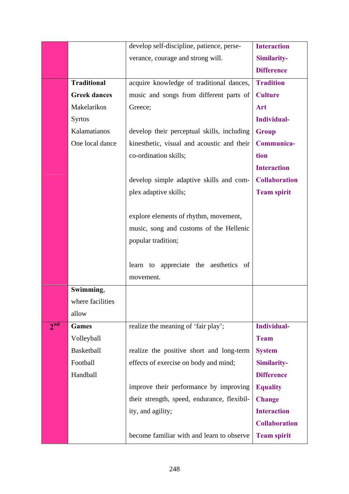|                 |                     | develop self-discipline, patience, perse-   | <b>Interaction</b>   |
|-----------------|---------------------|---------------------------------------------|----------------------|
|                 |                     | verance, courage and strong will.           | Similarity-          |
|                 |                     |                                             | <b>Difference</b>    |
|                 | <b>Traditional</b>  | acquire knowledge of traditional dances,    | <b>Tradition</b>     |
|                 | <b>Greek dances</b> | music and songs from different parts of     | <b>Culture</b>       |
|                 | Makelarikos         | Greece;                                     | Art                  |
|                 | <b>Syrtos</b>       |                                             | Individual-          |
|                 | Kalamatianos        | develop their perceptual skills, including  | <b>Group</b>         |
|                 | One local dance     | kinesthetic, visual and acoustic and their  | Communica-           |
|                 |                     | co-ordination skills;                       | tion                 |
|                 |                     |                                             | <b>Interaction</b>   |
|                 |                     | develop simple adaptive skills and com-     | <b>Collaboration</b> |
|                 |                     | plex adaptive skills;                       | <b>Team spirit</b>   |
|                 |                     |                                             |                      |
|                 |                     | explore elements of rhythm, movement,       |                      |
|                 |                     | music, song and customs of the Hellenic     |                      |
|                 |                     | popular tradition;                          |                      |
|                 |                     |                                             |                      |
|                 |                     | learn to appreciate the aesthetics of       |                      |
|                 |                     | movement.                                   |                      |
|                 | Swimming,           |                                             |                      |
|                 | where facilities    |                                             |                      |
|                 | allow               |                                             |                      |
| 2 <sup>nd</sup> | <b>Games</b>        | realize the meaning of 'fair play';         | <b>Individual-</b>   |
|                 | Volleyball          |                                             | <b>Team</b>          |
|                 | Basketball          | realize the positive short and long-term    | <b>System</b>        |
|                 | Football            | effects of exercise on body and mind;       | Similarity-          |
|                 | Handball            |                                             | <b>Difference</b>    |
|                 |                     | improve their performance by improving      | <b>Equality</b>      |
|                 |                     | their strength, speed, endurance, flexibil- | <b>Change</b>        |
|                 |                     | ity, and agility;                           | <b>Interaction</b>   |
|                 |                     |                                             | <b>Collaboration</b> |
|                 |                     | become familiar with and learn to observe   | <b>Team spirit</b>   |
|                 |                     |                                             |                      |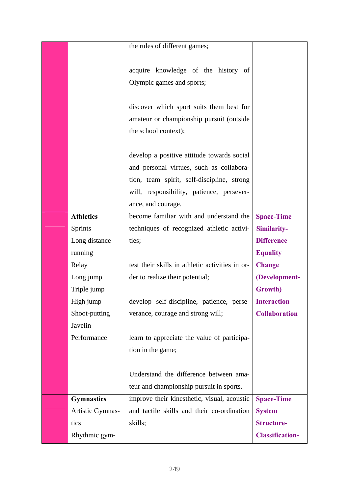|                   | the rules of different games;                   |                        |
|-------------------|-------------------------------------------------|------------------------|
|                   |                                                 |                        |
|                   | acquire knowledge of the history of             |                        |
|                   | Olympic games and sports;                       |                        |
|                   |                                                 |                        |
|                   | discover which sport suits them best for        |                        |
|                   | amateur or championship pursuit (outside        |                        |
|                   | the school context);                            |                        |
|                   |                                                 |                        |
|                   | develop a positive attitude towards social      |                        |
|                   | and personal virtues, such as collabora-        |                        |
|                   | tion, team spirit, self-discipline, strong      |                        |
|                   | will, responsibility, patience, persever-       |                        |
|                   | ance, and courage.                              |                        |
| <b>Athletics</b>  | become familiar with and understand the         | <b>Space-Time</b>      |
| <b>Sprints</b>    | techniques of recognized athletic activi-       | Similarity-            |
| Long distance     | ties;                                           | <b>Difference</b>      |
| running           |                                                 | <b>Equality</b>        |
| Relay             | test their skills in athletic activities in or- | <b>Change</b>          |
| Long jump         | der to realize their potential;                 | (Development-          |
| Triple jump       |                                                 | Growth)                |
| High jump         | develop self-discipline, patience, perse-       | <b>Interaction</b>     |
| Shoot-putting     | verance, courage and strong will;               | <b>Collaboration</b>   |
| Javelin           |                                                 |                        |
| Performance       | learn to appreciate the value of participa-     |                        |
|                   | tion in the game;                               |                        |
|                   |                                                 |                        |
|                   | Understand the difference between ama-          |                        |
|                   | teur and championship pursuit in sports.        |                        |
| <b>Gymnastics</b> | improve their kinesthetic, visual, acoustic     | <b>Space-Time</b>      |
| Artistic Gymnas-  | and tactile skills and their co-ordination      | <b>System</b>          |
| tics              | skills;                                         | <b>Structure-</b>      |
| Rhythmic gym-     |                                                 | <b>Classification-</b> |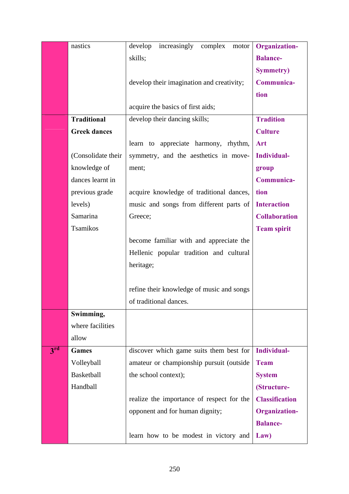|                 | nastics             | increasingly<br>develop<br>complex<br>motor | <b>Organization-</b>  |
|-----------------|---------------------|---------------------------------------------|-----------------------|
|                 |                     | skills;                                     | <b>Balance-</b>       |
|                 |                     |                                             | <b>Symmetry</b> )     |
|                 |                     | develop their imagination and creativity;   | Communica-            |
|                 |                     |                                             | tion                  |
|                 |                     | acquire the basics of first aids;           |                       |
|                 | <b>Traditional</b>  | develop their dancing skills;               | <b>Tradition</b>      |
|                 | <b>Greek dances</b> |                                             | <b>Culture</b>        |
|                 |                     | learn to appreciate harmony, rhythm,        | Art                   |
|                 | (Consolidate their  | symmetry, and the aesthetics in move-       | Individual-           |
|                 | knowledge of        | ment;                                       | group                 |
|                 | dances learnt in    |                                             | Communica-            |
|                 | previous grade      | acquire knowledge of traditional dances,    | tion                  |
|                 | levels)             | music and songs from different parts of     | <b>Interaction</b>    |
|                 | Samarina            | Greece;                                     | <b>Collaboration</b>  |
|                 | Tsamikos            |                                             | <b>Team spirit</b>    |
|                 |                     | become familiar with and appreciate the     |                       |
|                 |                     | Hellenic popular tradition and cultural     |                       |
|                 |                     | heritage;                                   |                       |
|                 |                     |                                             |                       |
|                 |                     | refine their knowledge of music and songs   |                       |
|                 |                     | of traditional dances.                      |                       |
|                 | Swimming,           |                                             |                       |
|                 | where facilities    |                                             |                       |
|                 | allow               |                                             |                       |
| 3 <sup>rd</sup> | <b>Games</b>        | discover which game suits them best for     | <b>Individual-</b>    |
|                 | Volleyball          | amateur or championship pursuit (outside    | <b>Team</b>           |
|                 | Basketball          | the school context);                        | <b>System</b>         |
|                 | Handball            |                                             | (Structure-           |
|                 |                     | realize the importance of respect for the   | <b>Classification</b> |
|                 |                     | opponent and for human dignity;             | <b>Organization-</b>  |
|                 |                     |                                             | <b>Balance-</b>       |
|                 |                     | learn how to be modest in victory and       | Law)                  |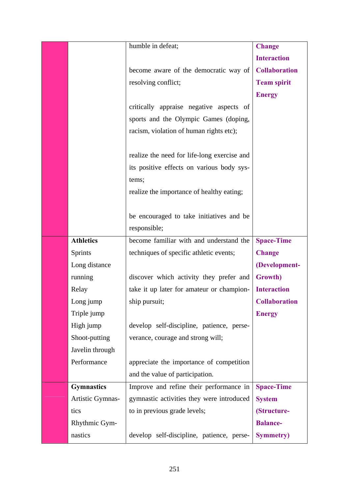|                   | humble in defeat;                           | <b>Change</b>        |
|-------------------|---------------------------------------------|----------------------|
|                   |                                             | <b>Interaction</b>   |
|                   | become aware of the democratic way of       | <b>Collaboration</b> |
|                   | resolving conflict;                         | <b>Team spirit</b>   |
|                   |                                             | <b>Energy</b>        |
|                   | critically appraise negative aspects of     |                      |
|                   | sports and the Olympic Games (doping,       |                      |
|                   | racism, violation of human rights etc);     |                      |
|                   |                                             |                      |
|                   | realize the need for life-long exercise and |                      |
|                   | its positive effects on various body sys-   |                      |
|                   | tems;                                       |                      |
|                   | realize the importance of healthy eating;   |                      |
|                   |                                             |                      |
|                   | be encouraged to take initiatives and be    |                      |
|                   | responsible;                                |                      |
| <b>Athletics</b>  | become familiar with and understand the     | <b>Space-Time</b>    |
| Sprints           | techniques of specific athletic events;     | <b>Change</b>        |
| Long distance     |                                             | (Development-        |
| running           | discover which activity they prefer and     | Growth)              |
| Relay             | take it up later for amateur or champion-   | <b>Interaction</b>   |
| Long jump         | ship pursuit;                               | <b>Collaboration</b> |
| Triple jump       |                                             | <b>Energy</b>        |
| High jump         | develop self-discipline, patience, perse-   |                      |
| Shoot-putting     | verance, courage and strong will;           |                      |
| Javelin through   |                                             |                      |
| Performance       | appreciate the importance of competition    |                      |
|                   | and the value of participation.             |                      |
| <b>Gymnastics</b> | Improve and refine their performance in     | <b>Space-Time</b>    |
| Artistic Gymnas-  | gymnastic activities they were introduced   | <b>System</b>        |
| tics              | to in previous grade levels;                | (Structure-          |
| Rhythmic Gym-     |                                             | <b>Balance-</b>      |
| nastics           | develop self-discipline, patience, perse-   | <b>Symmetry</b> )    |